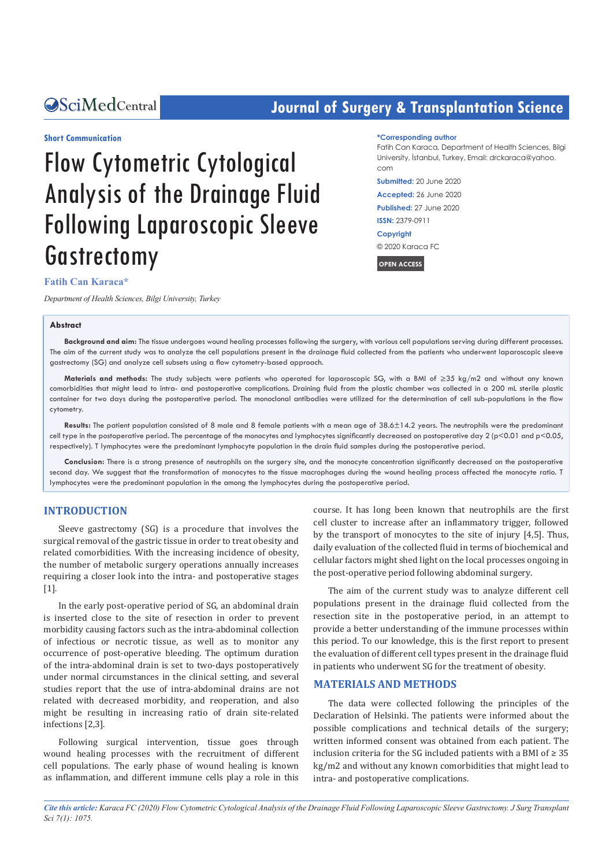## **CACENTRE CENTRE CONTROLLER SURFERIGHTER SCIENCE SCIENCE SCIENCE SCIENCE SCIENCE SCIENCE SCIENCE SCIENCE SCIENCE SCIENCE SCIENCE SCIENCE SCIENCE SCIENCE SCIENCE SCIENCE SCIENCE SCIENCE SCIENCE SCIENCE SCIENCE SCIENCE SCIEN**

#### **Short Communication**

# Flow Cytometric Cytological Analysis of the Drainage Fluid Following Laparoscopic Sleeve **Gastrectomy**

#### **Fatih Can Karaca\***

*Department of Health Sciences, Bilgi University, Turkey* 

#### **Abstract**

**\*Corresponding author**

Fatih Can Karaca, Department of Health Sciences, Bilgi University, İstanbul, Turkey, Email: drckaraca@yahoo. com

**Submitted:** 20 June 2020

**Accepted:** 26 June 2020 **Published:** 27 June 2020

**ISSN:** 2379-0911

**Copyright**

© 2020 Karaca FC

**OPEN ACCESS**

**Background and aim:** The tissue undergoes wound healing processes following the surgery, with various cell populations serving during different processes. The aim of the current study was to analyze the cell populations present in the drainage fluid collected from the patients who underwent laparoscopic sleeve gastrectomy (SG) and analyze cell subsets using a flow cytometry-based approach.

**Materials and methods:** The study subjects were patients who operated for laparoscopic SG, with a BMI of ≥35 kg/m2 and without any known comorbidities that might lead to intra- and postoperative complications. Draining fluid from the plastic chamber was collected in a 200 mL sterile plastic container for two days during the postoperative period. The monoclonal antibodies were utilized for the determination of cell sub-populations in the flow cytometry.

**Results:** The patient population consisted of 8 male and 8 female patients with a mean age of 38.6±14.2 years. The neutrophils were the predominant cell type in the postoperative period. The percentage of the monocytes and lymphocytes significantly decreased on postoperative day 2 (p<0.01 and p<0.05, respectively). T lymphocytes were the predominant lymphocyte population in the drain fluid samples during the postoperative period.

**Conclusion:** There is a strong presence of neutrophils on the surgery site, and the monocyte concentration significantly decreased on the postoperative second day. We suggest that the transformation of monocytes to the tissue macrophages during the wound healing process affected the monocyte ratio. T lymphocytes were the predominant population in the among the lymphocytes during the postoperative period.

#### **INTRODUCTION**

Sleeve gastrectomy (SG) is a procedure that involves the surgical removal of the gastric tissue in order to treat obesity and related comorbidities. With the increasing incidence of obesity, the number of metabolic surgery operations annually increases requiring a closer look into the intra- and postoperative stages  $[1]$ .

In the early post-operative period of SG, an abdominal drain is inserted close to the site of resection in order to prevent morbidity causing factors such as the intra-abdominal collection of infectious or necrotic tissue, as well as to monitor any occurrence of post-operative bleeding. The optimum duration of the intra-abdominal drain is set to two-days postoperatively under normal circumstances in the clinical setting, and several studies report that the use of intra-abdominal drains are not related with decreased morbidity, and reoperation, and also might be resulting in increasing ratio of drain site-related infections [2,3].

Following surgical intervention, tissue goes through wound healing processes with the recruitment of different cell populations. The early phase of wound healing is known as inflammation, and different immune cells play a role in this course. It has long been known that neutrophils are the first cell cluster to increase after an inflammatory trigger, followed by the transport of monocytes to the site of injury [4,5]. Thus, daily evaluation of the collected fluid in terms of biochemical and cellular factors might shed light on the local processes ongoing in the post-operative period following abdominal surgery.

The aim of the current study was to analyze different cell populations present in the drainage fluid collected from the resection site in the postoperative period, in an attempt to provide a better understanding of the immune processes within this period. To our knowledge, this is the first report to present the evaluation of different cell types present in the drainage fluid in patients who underwent SG for the treatment of obesity.

#### **MATERIALS AND METHODS**

The data were collected following the principles of the Declaration of Helsinki. The patients were informed about the possible complications and technical details of the surgery; written informed consent was obtained from each patient. The inclusion criteria for the SG included patients with a BMI of  $\geq 35$ kg/m2 and without any known comorbidities that might lead to intra- and postoperative complications.

*Cite this article: Karaca FC (2020) Flow Cytometric Cytological Analysis of the Drainage Fluid Following Laparoscopic Sleeve Gastrectomy. J Surg Transplant Sci 7(1): 1075.*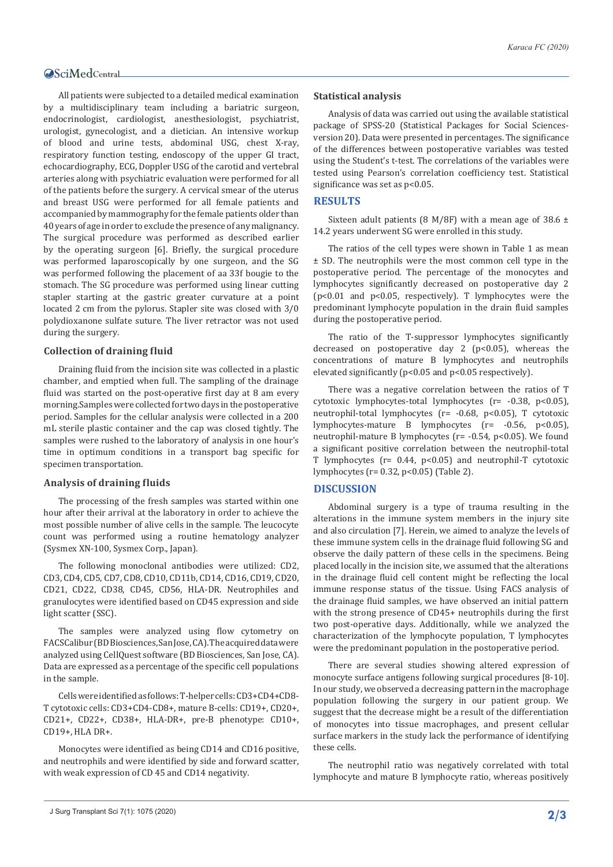All patients were subjected to a detailed medical examination by a multidisciplinary team including a bariatric surgeon, endocrinologist, cardiologist, anesthesiologist, psychiatrist, urologist, gynecologist, and a dietician. An intensive workup of blood and urine tests, abdominal USG, chest X-ray, respiratory function testing, endoscopy of the upper GI tract, echocardiography, ECG, Doppler USG of the carotid and vertebral arteries along with psychiatric evaluation were performed for all of the patients before the surgery. A cervical smear of the uterus and breast USG were performed for all female patients and accompanied by mammography for the female patients older than 40 years of age in order to exclude the presence of any malignancy. The surgical procedure was performed as described earlier by the operating surgeon [6]. Briefly, the surgical procedure was performed laparoscopically by one surgeon, and the SG was performed following the placement of aa 33f bougie to the stomach. The SG procedure was performed using linear cutting stapler starting at the gastric greater curvature at a point located 2 cm from the pylorus. Stapler site was closed with 3/0 polydioxanone sulfate suture. The liver retractor was not used during the surgery.

#### **Collection of draining fluid**

Draining fluid from the incision site was collected in a plastic chamber, and emptied when full. The sampling of the drainage fluid was started on the post-operative first day at 8 am every morning.Samples were collected for two days in the postoperative period. Samples for the cellular analysis were collected in a 200 mL sterile plastic container and the cap was closed tightly. The samples were rushed to the laboratory of analysis in one hour's time in optimum conditions in a transport bag specific for specimen transportation.

#### **Analysis of draining fluids**

The processing of the fresh samples was started within one hour after their arrival at the laboratory in order to achieve the most possible number of alive cells in the sample. The leucocyte count was performed using a routine hematology analyzer (Sysmex XN-100, Sysmex Corp., Japan).

The following monoclonal antibodies were utilized: CD2, CD3, CD4, CD5, CD7, CD8, CD10, CD11b, CD14, CD16, CD19, CD20, CD21, CD22, CD38, CD45, CD56, HLA-DR. Neutrophiles and granulocytes were identified based on CD45 expression and side light scatter (SSC).

The samples were analyzed using flow cytometry on FACSCalibur (BD Biosciences, San Jose, CA). The acquired data were analyzed using CellQuest software (BD Biosciences, San Jose, CA). Data are expressed as a percentage of the specific cell populations in the sample.

Cells were identified as follows: T-helper cells: CD3+CD4+CD8- T cytotoxic cells: CD3+CD4-CD8+, mature B-cells: CD19+, CD20+, CD21+, CD22+, CD38+, HLA-DR+, pre-B phenotype: CD10+, CD19+, HLA DR+.

Monocytes were identified as being CD14 and CD16 positive, and neutrophils and were identified by side and forward scatter, with weak expression of CD 45 and CD14 negativity.

#### **Statistical analysis**

Analysis of data was carried out using the available statistical package of SPSS-20 (Statistical Packages for Social Sciencesversion 20). Data were presented in percentages. The significance of the differences between postoperative variables was tested using the Student's t-test. The correlations of the variables were tested using Pearson's correlation coefficiency test. Statistical significance was set as p<0.05.

#### **RESULTS**

Sixteen adult patients (8 M/8F) with a mean age of 38.6  $\pm$ 14.2 years underwent SG were enrolled in this study.

The ratios of the cell types were shown in Table 1 as mean ± SD. The neutrophils were the most common cell type in the postoperative period. The percentage of the monocytes and lymphocytes significantly decreased on postoperative day 2 (p<0.01 and p<0.05, respectively). T lymphocytes were the predominant lymphocyte population in the drain fluid samples during the postoperative period.

The ratio of the T-suppressor lymphocytes significantly decreased on postoperative day 2 (p<0.05), whereas the concentrations of mature B lymphocytes and neutrophils elevated significantly (p<0.05 and p<0.05 respectively).

There was a negative correlation between the ratios of T cytotoxic lymphocytes-total lymphocytes (r= -0.38, p<0.05), neutrophil-total lymphocytes (r= -0.68, p<0.05), T cytotoxic lymphocytes-mature B lymphocytes (r= -0.56, p<0.05), neutrophil-mature B lymphocytes (r= -0.54, p<0.05). We found a significant positive correlation between the neutrophil-total T lymphocytes (r= 0.44, p<0.05) and neutrophil-T cytotoxic lymphocytes (r= 0.32, p<0.05) (Table 2).

#### **DISCUSSION**

Abdominal surgery is a type of trauma resulting in the alterations in the immune system members in the injury site and also circulation [7]. Herein, we aimed to analyze the levels of these immune system cells in the drainage fluid following SG and observe the daily pattern of these cells in the specimens. Being placed locally in the incision site, we assumed that the alterations in the drainage fluid cell content might be reflecting the local immune response status of the tissue. Using FACS analysis of the drainage fluid samples, we have observed an initial pattern with the strong presence of CD45+ neutrophils during the first two post-operative days. Additionally, while we analyzed the characterization of the lymphocyte population, T lymphocytes were the predominant population in the postoperative period.

There are several studies showing altered expression of monocyte surface antigens following surgical procedures [8-10]. In our study, we observed a decreasing pattern in the macrophage population following the surgery in our patient group. We suggest that the decrease might be a result of the differentiation of monocytes into tissue macrophages, and present cellular surface markers in the study lack the performance of identifying these cells.

The neutrophil ratio was negatively correlated with total lymphocyte and mature B lymphocyte ratio, whereas positively

J Surg Transplant Sci 7(1): 1075 (2020) **2/3**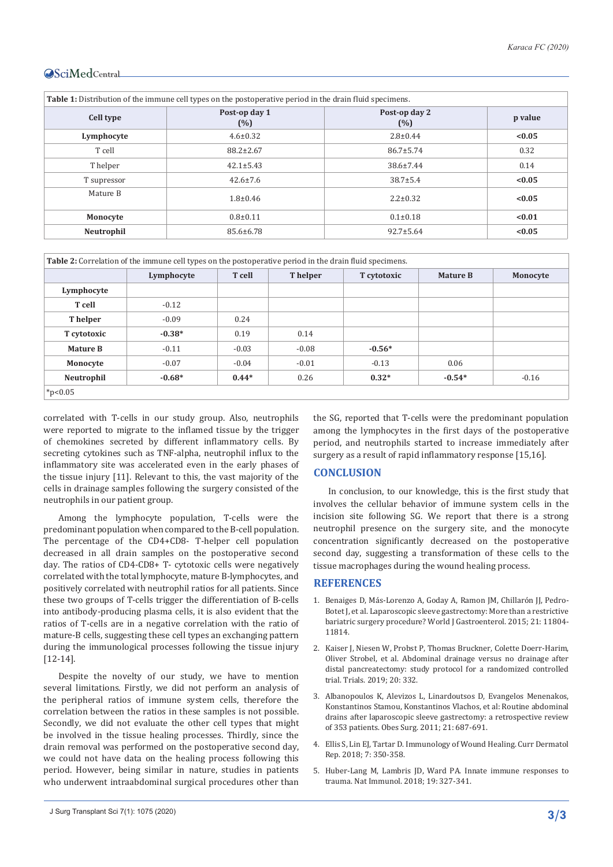| <b>Table 1:</b> Distribution of the immune cell types on the postoperative period in the drain fluid specimens. |                                              |                 |         |  |  |  |
|-----------------------------------------------------------------------------------------------------------------|----------------------------------------------|-----------------|---------|--|--|--|
| Cell type                                                                                                       | Post-op day 1<br>Post-op day 2<br>(%)<br>(%) |                 | p value |  |  |  |
| Lymphocyte                                                                                                      | $4.6 \pm 0.32$                               | $2.8 \pm 0.44$  | < 0.05  |  |  |  |
| T cell                                                                                                          | $88.2 \pm 2.67$                              | $86.7 \pm 5.74$ | 0.32    |  |  |  |
| T helper                                                                                                        | $42.1 \pm 5.43$                              | 38.6±7.44       | 0.14    |  |  |  |
| T supressor                                                                                                     | $42.6 \pm 7.6$                               | $38.7 \pm 5.4$  | < 0.05  |  |  |  |
| Mature B                                                                                                        | $1.8 \pm 0.46$                               | $2.2 \pm 0.32$  | < 0.05  |  |  |  |
| Monocyte                                                                                                        | $0.8 + 0.11$                                 | $0.1 \pm 0.18$  | < 0.01  |  |  |  |
| Neutrophil                                                                                                      | 85.6±6.78                                    | $92.7 \pm 5.64$ | < 0.05  |  |  |  |

| <b>Table 2:</b> Correlation of the immune cell types on the postoperative period in the drain fluid specimens. |            |         |          |             |                 |          |  |  |
|----------------------------------------------------------------------------------------------------------------|------------|---------|----------|-------------|-----------------|----------|--|--|
|                                                                                                                | Lymphocyte | T cell  | T helper | T cytotoxic | <b>Mature B</b> | Monocyte |  |  |
| Lymphocyte                                                                                                     |            |         |          |             |                 |          |  |  |
| T cell                                                                                                         | $-0.12$    |         |          |             |                 |          |  |  |
| T helper                                                                                                       | $-0.09$    | 0.24    |          |             |                 |          |  |  |
| T cytotoxic                                                                                                    | $-0.38*$   | 0.19    | 0.14     |             |                 |          |  |  |
| <b>Mature B</b>                                                                                                | $-0.11$    | $-0.03$ | $-0.08$  | $-0.56*$    |                 |          |  |  |
| Monocyte                                                                                                       | $-0.07$    | $-0.04$ | $-0.01$  | $-0.13$     | 0.06            |          |  |  |
| Neutrophil                                                                                                     | $-0.68*$   | $0.44*$ | 0.26     | $0.32*$     | $-0.54*$        | $-0.16$  |  |  |
| $*_{p<0.05}$                                                                                                   |            |         |          |             |                 |          |  |  |

correlated with T-cells in our study group. Also, neutrophils were reported to migrate to the inflamed tissue by the trigger of chemokines secreted by different inflammatory cells. By secreting cytokines such as TNF-alpha, neutrophil influx to the inflammatory site was accelerated even in the early phases of the tissue injury [11]. Relevant to this, the vast majority of the cells in drainage samples following the surgery consisted of the neutrophils in our patient group.

Among the lymphocyte population, T-cells were the predominant population when compared to the B-cell population. The percentage of the CD4+CD8- T-helper cell population decreased in all drain samples on the postoperative second day. The ratios of CD4-CD8+ T- cytotoxic cells were negatively correlated with the total lymphocyte, mature B-lymphocytes, and positively correlated with neutrophil ratios for all patients. Since these two groups of T-cells trigger the differentiation of B-cells into antibody-producing plasma cells, it is also evident that the ratios of T-cells are in a negative correlation with the ratio of mature-B cells, suggesting these cell types an exchanging pattern during the immunological processes following the tissue injury [12-14].

Despite the novelty of our study, we have to mention several limitations. Firstly, we did not perform an analysis of the peripheral ratios of immune system cells, therefore the correlation between the ratios in these samples is not possible. Secondly, we did not evaluate the other cell types that might be involved in the tissue healing processes. Thirdly, since the drain removal was performed on the postoperative second day, we could not have data on the healing process following this period. However, being similar in nature, studies in patients who underwent intraabdominal surgical procedures other than

the SG, reported that T-cells were the predominant population among the lymphocytes in the first days of the postoperative period, and neutrophils started to increase immediately after surgery as a result of rapid inflammatory response [15,16].

#### **CONCLUSION**

In conclusion, to our knowledge, this is the first study that involves the cellular behavior of immune system cells in the incision site following SG. We report that there is a strong neutrophil presence on the surgery site, and the monocyte concentration significantly decreased on the postoperative second day, suggesting a transformation of these cells to the tissue macrophages during the wound healing process.

#### **REFERENCES**

- 1. Benaiges D, Más[-Lorenzo A, Goday A, Ramon JM, Chillarón JJ, Pedro-](https://pubmed.ncbi.nlm.nih.gov/26557004/)[Botet J, et al. Laparoscopic sleeve gastrectomy: More than a restrictive](https://pubmed.ncbi.nlm.nih.gov/26557004/)  [bariatric surgery procedure? World J Gastroenterol. 2015; 21: 11804-](https://pubmed.ncbi.nlm.nih.gov/26557004/) [11814.](https://pubmed.ncbi.nlm.nih.gov/26557004/)
- 2. [Kaiser J, Niesen W, Probst P, Thomas Bruckner, Colette Doerr-Harim,](https://pubmed.ncbi.nlm.nih.gov/31174583/)  [Oliver Strobel, et al. Abdominal drainage versus no drainage after](https://pubmed.ncbi.nlm.nih.gov/31174583/)  [distal pancreatectomy: study protocol for a randomized controlled](https://pubmed.ncbi.nlm.nih.gov/31174583/)  [trial. Trials. 2019; 20: 332.](https://pubmed.ncbi.nlm.nih.gov/31174583/)
- 3. [Albanopoulos K, Alevizos L, Linardoutsos D, Evangelos Menenakos,](https://pubmed.ncbi.nlm.nih.gov/21181290/)  [Konstantinos Stamou, Konstantinos Vlachos, et al: Routine abdominal](https://pubmed.ncbi.nlm.nih.gov/21181290/)  [drains after laparoscopic sleeve gastrectomy: a retrospective review](https://pubmed.ncbi.nlm.nih.gov/21181290/)  of 353 patients. [Obes Surg. 2011; 21: 687‐691.](https://pubmed.ncbi.nlm.nih.gov/21181290/)
- 4. Ellis S, Lin EJ, Tartar D. Immunology of Wound Healing. Curr Dermatol Rep. 2018; 7: 350-358.
- 5. [Huber-Lang M, Lambris JD, Ward PA. Innate immune responses to](https://www.nature.com/articles/s41590-018-0064-8#:~:text=Protective and harmful innate immune,%2Dinjury state11%2C12.)  [trauma. Nat Immunol. 2018; 19: 327-341.](https://www.nature.com/articles/s41590-018-0064-8#:~:text=Protective and harmful innate immune,%2Dinjury state11%2C12.)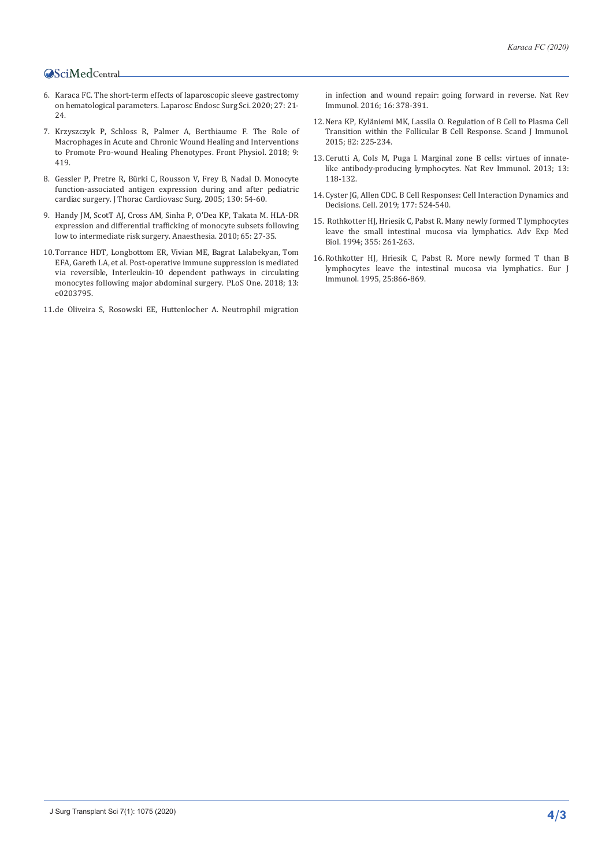- 6. Karaca FC. The short-term effects of laparoscopic sleeve gastrectomy on hematological parameters. Laparosc Endosc Surg Sci. 2020; 27: 21- 24.
- 7. [Krzyszczyk P, Schloss R, Palmer A, Berthiaume F. The Role of](https://pubmed.ncbi.nlm.nih.gov/29765329/)  [Macrophages in Acute and Chronic Wound Healing and Interventions](https://pubmed.ncbi.nlm.nih.gov/29765329/)  [to Promote Pro-wound Healing Phenotypes.](https://pubmed.ncbi.nlm.nih.gov/29765329/) Front Physiol. 2018; 9: [419.](https://pubmed.ncbi.nlm.nih.gov/29765329/)
- 8. [Gessler P, Pretre R, Bürki C, Rousson V, Frey B, Nadal D. Monocyte](https://pubmed.ncbi.nlm.nih.gov/15999041/)  [function-associated antigen expression during and after pediatric](https://pubmed.ncbi.nlm.nih.gov/15999041/)  cardiac surgery. [J Thorac Cardiovasc Surg. 2005; 130: 54‐60.](https://pubmed.ncbi.nlm.nih.gov/15999041/)
- 9. [Handy JM, ScotT AJ, Cross AM, Sinha P, O'Dea KP, Takata M. HLA‐DR](https://pubmed.ncbi.nlm.nih.gov/19889110/)  [expression and differential trafficking of monocyte subsets following](https://pubmed.ncbi.nlm.nih.gov/19889110/)  [low to intermediate risk surgery. Anaesthesia. 2010; 65: 27-35.](https://pubmed.ncbi.nlm.nih.gov/19889110/)
- 10.[Torrance HDT, Longbottom ER, Vivian ME, Bagrat Lalabekyan, Tom](https://pubmed.ncbi.nlm.nih.gov/30212506/)  [EFA, Gareth LA, et al. Post-operative immune suppression is mediated](https://pubmed.ncbi.nlm.nih.gov/30212506/)  [via reversible, Interleukin-10 dependent pathways in circulating](https://pubmed.ncbi.nlm.nih.gov/30212506/)  [monocytes following major abdominal surgery.](https://pubmed.ncbi.nlm.nih.gov/30212506/) PLoS One. 2018; 13: [e0203795.](https://pubmed.ncbi.nlm.nih.gov/30212506/)
- 11.[de Oliveira S, Rosowski EE, Huttenlocher A. Neutrophil migration](https://pubmed.ncbi.nlm.nih.gov/27231052/)

[in infection and wound repair: going forward in reverse. Nat Rev](https://pubmed.ncbi.nlm.nih.gov/27231052/)  [Immunol. 2016; 16: 378-391.](https://pubmed.ncbi.nlm.nih.gov/27231052/) 

- 12.[Nera KP, Kyläniemi MK, Lassila O. Regulation of B Cell to Plasma Cell](https://pubmed.ncbi.nlm.nih.gov/26118840/)  [Transition within the Follicular B Cell Response.](https://pubmed.ncbi.nlm.nih.gov/26118840/) Scand J Immunol. [2015; 82: 225‐234.](https://pubmed.ncbi.nlm.nih.gov/26118840/)
- 13.[Cerutti A, Cols M, Puga I. Marginal zone B cells: virtues of innate](https://pubmed.ncbi.nlm.nih.gov/23348416/)[like antibody-producing lymphocytes.](https://pubmed.ncbi.nlm.nih.gov/23348416/) Nat Rev Immunol. 2013; 13: [118‐132.](https://pubmed.ncbi.nlm.nih.gov/23348416/)
- 14.[Cyster JG, Allen CDC. B Cell Responses: Cell Interaction Dynamics and](https://pubmed.ncbi.nlm.nih.gov/31002794/)  Decisions. [Cell. 2019; 177: 524‐540.](https://pubmed.ncbi.nlm.nih.gov/31002794/)
- 15. [Rothkotter HJ, Hriesik C, Pabst R. Many newly formed T lymphocytes](https://pubmed.ncbi.nlm.nih.gov/7709832/)  [leave the small intestinal mucosa via lymphatics.](https://pubmed.ncbi.nlm.nih.gov/7709832/) Adv Exp Med Biol. [1994; 355: 261-263.](https://pubmed.ncbi.nlm.nih.gov/7709832/)
- 16.[Rothkotter HJ, Hriesik C, Pabst R. More newly formed T than B](https://pubmed.ncbi.nlm.nih.gov/7705420/)  [lymphocytes leave the intestinal mucosa via lymphatics.](https://pubmed.ncbi.nlm.nih.gov/7705420/) Eur J Immunol. [1995, 25:866-869.](https://pubmed.ncbi.nlm.nih.gov/7705420/)